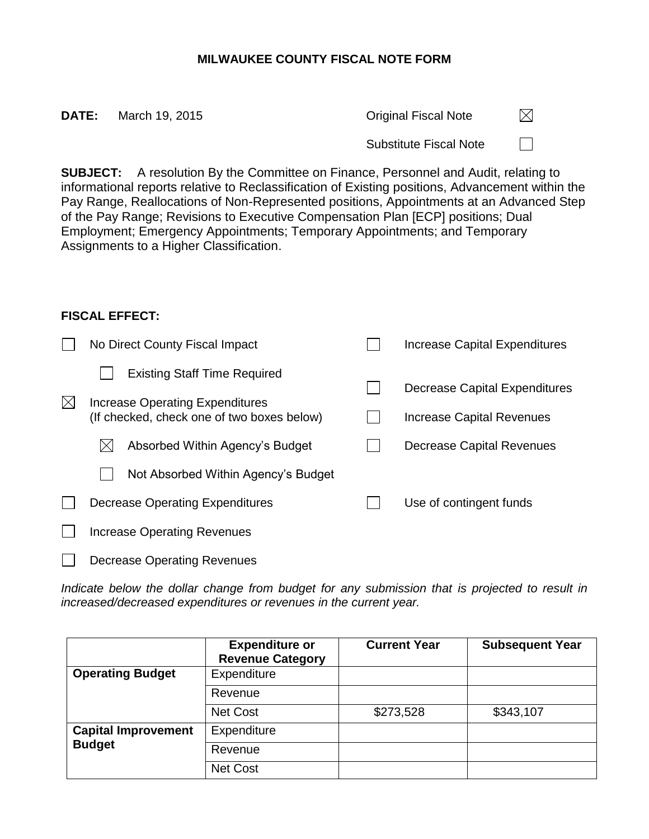## **MILWAUKEE COUNTY FISCAL NOTE FORM**

| DATE:                                                                                                                                                                                           | March 19, 2015 | <b>Original Fiscal Note</b>   | $\bowtie$ |  |  |  |  |
|-------------------------------------------------------------------------------------------------------------------------------------------------------------------------------------------------|----------------|-------------------------------|-----------|--|--|--|--|
|                                                                                                                                                                                                 |                | <b>Substitute Fiscal Note</b> |           |  |  |  |  |
| <b>SUBJECT:</b> A resolution By the Committee on Finance, Personnel and Audit, relating to<br>informational reports relative to Deployable at on of Evistina positions. A diverse report within |                |                               |           |  |  |  |  |

informational reports relative to Reclassification of Existing positions, Advancement within the Pay Range, Reallocations of Non-Represented positions, Appointments at an Advanced Step of the Pay Range; Revisions to Executive Compensation Plan [ECP] positions; Dual Employment; Emergency Appointments; Temporary Appointments; and Temporary Assignments to a Higher Classification.

## **FISCAL EFFECT:**

|              | No Direct County Fiscal Impact             |  | Increase Capital Expenditures |
|--------------|--------------------------------------------|--|-------------------------------|
|              | <b>Existing Staff Time Required</b>        |  |                               |
| $\mathbb{X}$ | Increase Operating Expenditures            |  | Decrease Capital Expenditures |
|              | (If checked, check one of two boxes below) |  | Increase Capital Revenues     |
|              | Absorbed Within Agency's Budget            |  | Decrease Capital Revenues     |
|              | Not Absorbed Within Agency's Budget        |  |                               |
|              | Decrease Operating Expenditures            |  | Use of contingent funds       |
|              | <b>Increase Operating Revenues</b>         |  |                               |
|              | <b>Decrease Operating Revenues</b>         |  |                               |

*Indicate below the dollar change from budget for any submission that is projected to result in increased/decreased expenditures or revenues in the current year.*

|                            | <b>Expenditure or</b><br><b>Revenue Category</b> | <b>Current Year</b> | <b>Subsequent Year</b> |
|----------------------------|--------------------------------------------------|---------------------|------------------------|
| <b>Operating Budget</b>    | Expenditure                                      |                     |                        |
|                            | Revenue                                          |                     |                        |
|                            | Net Cost                                         | \$273,528           | \$343,107              |
| <b>Capital Improvement</b> | Expenditure                                      |                     |                        |
| <b>Budget</b>              | Revenue                                          |                     |                        |
|                            | Net Cost                                         |                     |                        |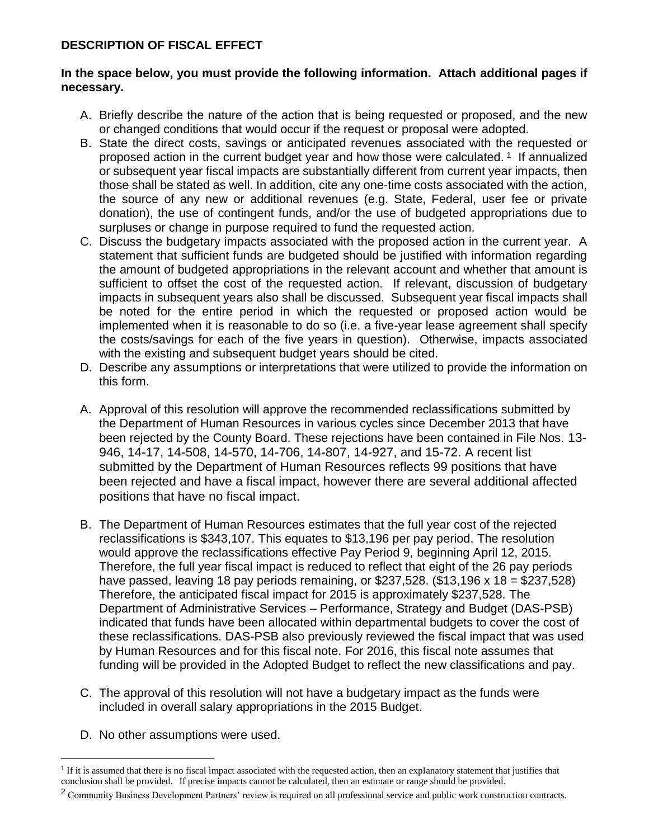## **DESCRIPTION OF FISCAL EFFECT**

## **In the space below, you must provide the following information. Attach additional pages if necessary.**

- A. Briefly describe the nature of the action that is being requested or proposed, and the new or changed conditions that would occur if the request or proposal were adopted.
- B. State the direct costs, savings or anticipated revenues associated with the requested or proposed action in the current budget year and how those were calculated.<sup>1</sup> If annualized or subsequent year fiscal impacts are substantially different from current year impacts, then those shall be stated as well. In addition, cite any one-time costs associated with the action, the source of any new or additional revenues (e.g. State, Federal, user fee or private donation), the use of contingent funds, and/or the use of budgeted appropriations due to surpluses or change in purpose required to fund the requested action.
- C. Discuss the budgetary impacts associated with the proposed action in the current year. A statement that sufficient funds are budgeted should be justified with information regarding the amount of budgeted appropriations in the relevant account and whether that amount is sufficient to offset the cost of the requested action.If relevant, discussion of budgetary impacts in subsequent years also shall be discussed. Subsequent year fiscal impacts shall be noted for the entire period in which the requested or proposed action would be implemented when it is reasonable to do so (i.e. a five-year lease agreement shall specify the costs/savings for each of the five years in question). Otherwise, impacts associated with the existing and subsequent budget years should be cited.
- D. Describe any assumptions or interpretations that were utilized to provide the information on this form.
- A. Approval of this resolution will approve the recommended reclassifications submitted by the Department of Human Resources in various cycles since December 2013 that have been rejected by the County Board. These rejections have been contained in File Nos. 13- 946, 14-17, 14-508, 14-570, 14-706, 14-807, 14-927, and 15-72. A recent list submitted by the Department of Human Resources reflects 99 positions that have been rejected and have a fiscal impact, however there are several additional affected positions that have no fiscal impact.
- B. The Department of Human Resources estimates that the full year cost of the rejected reclassifications is \$343,107. This equates to \$13,196 per pay period. The resolution would approve the reclassifications effective Pay Period 9, beginning April 12, 2015. Therefore, the full year fiscal impact is reduced to reflect that eight of the 26 pay periods have passed, leaving 18 pay periods remaining, or \$237,528. (\$13,196 x 18 = \$237,528) Therefore, the anticipated fiscal impact for 2015 is approximately \$237,528. The Department of Administrative Services – Performance, Strategy and Budget (DAS-PSB) indicated that funds have been allocated within departmental budgets to cover the cost of these reclassifications. DAS-PSB also previously reviewed the fiscal impact that was used by Human Resources and for this fiscal note. For 2016, this fiscal note assumes that funding will be provided in the Adopted Budget to reflect the new classifications and pay.
- C. The approval of this resolution will not have a budgetary impact as the funds were included in overall salary appropriations in the 2015 Budget.
- D. No other assumptions were used.

 $\overline{a}$ 

<sup>&</sup>lt;sup>1</sup> If it is assumed that there is no fiscal impact associated with the requested action, then an explanatory statement that justifies that conclusion shall be provided.If precise impacts cannot be calculated, then an estimate or range should be provided.

<sup>&</sup>lt;sup>2</sup> Community Business Development Partners' review is required on all professional service and public work construction contracts.